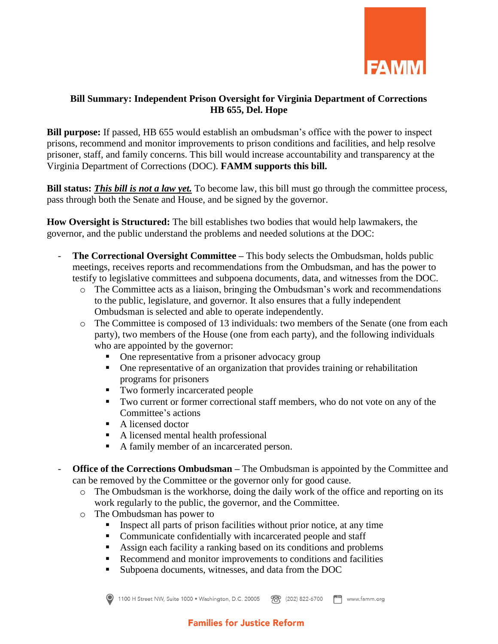

## **Bill Summary: Independent Prison Oversight for Virginia Department of Corrections HB 655, Del. Hope**

**Bill purpose:** If passed, HB 655 would establish an ombudsman's office with the power to inspect prisons, recommend and monitor improvements to prison conditions and facilities, and help resolve prisoner, staff, and family concerns. This bill would increase accountability and transparency at the Virginia Department of Corrections (DOC). **FAMM supports this bill.**

**Bill status:** *This bill is not a law yet.* To become law, this bill must go through the committee process, pass through both the Senate and House, and be signed by the governor.

**How Oversight is Structured:** The bill establishes two bodies that would help lawmakers, the governor, and the public understand the problems and needed solutions at the DOC:

- **The Correctional Oversight Committee This body selects the Ombudsman, holds public** meetings, receives reports and recommendations from the Ombudsman, and has the power to testify to legislative committees and subpoena documents, data, and witnesses from the DOC.
	- o The Committee acts as a liaison, bringing the Ombudsman's work and recommendations to the public, legislature, and governor. It also ensures that a fully independent Ombudsman is selected and able to operate independently.
	- o The Committee is composed of 13 individuals: two members of the Senate (one from each party), two members of the House (one from each party), and the following individuals who are appointed by the governor:
		- One representative from a prisoner advocacy group
		- One representative of an organization that provides training or rehabilitation programs for prisoners
		- Two formerly incarcerated people
		- Two current or former correctional staff members, who do not vote on any of the Committee's actions
		- A licensed doctor
		- A licensed mental health professional
		- A family member of an incarcerated person.
- **Office of the Corrections Ombudsman** The Ombudsman is appointed by the Committee and can be removed by the Committee or the governor only for good cause.
	- o The Ombudsman is the workhorse, doing the daily work of the office and reporting on its work regularly to the public, the governor, and the Committee.
	- o The Ombudsman has power to
		- Inspect all parts of prison facilities without prior notice, at any time
		- Communicate confidentially with incarcerated people and staff
		- Assign each facility a ranking based on its conditions and problems
		- Recommend and monitor improvements to conditions and facilities
		- Subpoena documents, witnesses, and data from the DOC



1100 H Street NW, Suite 1000 · Washington, D.C. 20005 78 (202) 822-6700 <sup>188</sup> www.famm.org

## **Families for Justice Reform**